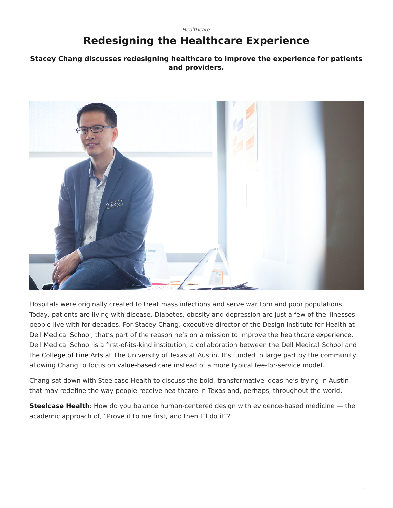## <span id="page-0-0"></span>*[Healthcare](https://www.steelcase.com/research/topics/healthcare/)* **Redesigning the Healthcare Experience**

## **Stacey Chang discusses redesigning healthcare to improve the experience for patients and providers.**



Hospitals were originally created to treat mass infections and serve war torn and poor populations. Today, patients are living with disease. Diabetes, obesity and depression are just a few of the illnesses people live with for decades. For Stacey Chang, executive director of the Design Institute for Health at [Dell Medical School,](https://dellmed.utexas.edu/) that's part of the reason he's on a mission to improve the [healthcare experience.](https://www.steelcase.com/research/articles/topics/healthcare/better-waiting-rooms-simply-cant-wait/) Dell Medical School is a first-of-its-kind institution, a collaboration between the Dell Medical School and the [College of Fine Arts](http://finearts.utexas.edu/) at The University of Texas at Austin. It's funded in large part by the community, allowing Chang to focus on [value-based care](https://www.steelcase.com/research/articles/topics/healthcare/problem-solving-passion-fuel-healthcare-design/) instead of a more typical fee-for-service model.

Chang sat down with Steelcase Health to discuss the bold, transformative ideas he's trying in Austin that may redefine the way people receive healthcare in Texas and, perhaps, throughout the world.

**Steelcase Health**: How do you balance human-centered design with evidence-based medicine — the academic approach of, "Prove it to me first, and then I'll do it"?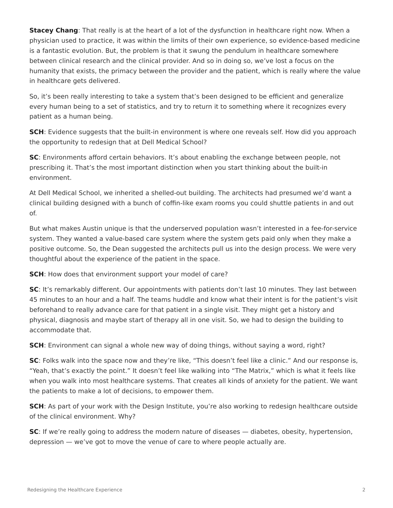**Stacey Chang**: That really is at the heart of a lot of the dysfunction in healthcare right now. When a physician used to practice, it was within the limits of their own experience, so evidence-based medicine is a fantastic evolution. But, the problem is that it swung the pendulum in healthcare somewhere between clinical research and the clinical provider. And so in doing so, we've lost a focus on the humanity that exists, the primacy between the provider and the patient, which is really where the value in healthcare gets delivered.

So, it's been really interesting to take a system that's been designed to be efficient and generalize every human being to a set of statistics, and try to return it to something where it recognizes every patient as a human being.

**SCH**: Evidence suggests that the built-in environment is where one reveals self. How did you approach the opportunity to redesign that at Dell Medical School?

**SC:** Environments afford certain behaviors. It's about enabling the exchange between people, not prescribing it. That's the most important distinction when you start thinking about the built-in environment.

At Dell Medical School, we inherited a shelled-out building. The architects had presumed we'd want a clinical building designed with a bunch of coffin-like exam rooms you could shuttle patients in and out of.

But what makes Austin unique is that the underserved population wasn't interested in a fee-for-service system. They wanted a value-based care system where the system gets paid only when they make a positive outcome. So, the Dean suggested the architects pull us into the design process. We were very thoughtful about the experience of the patient in the space.

**SCH**: How does that environment support your model of care?

**SC:** It's remarkably different. Our appointments with patients don't last 10 minutes. They last between 45 minutes to an hour and a half. The teams huddle and know what their intent is for the patient's visit beforehand to really advance care for that patient in a single visit. They might get a history and physical, diagnosis and maybe start of therapy all in one visit. So, we had to design the building to accommodate that.

**SCH**: Environment can signal a whole new way of doing things, without saying a word, right?

**SC**: Folks walk into the space now and they're like, "This doesn't feel like a clinic." And our response is, "Yeah, that's exactly the point." It doesn't feel like walking into "The Matrix," which is what it feels like when you walk into most healthcare systems. That creates all kinds of anxiety for the patient. We want the patients to make a lot of decisions, to empower them.

**SCH**: As part of your work with the Design Institute, you're also working to redesign healthcare outside of the clinical environment. Why?

**SC:** If we're really going to address the modern nature of diseases — diabetes, obesity, hypertension, depression — we've got to move the venue of care to where people actually are.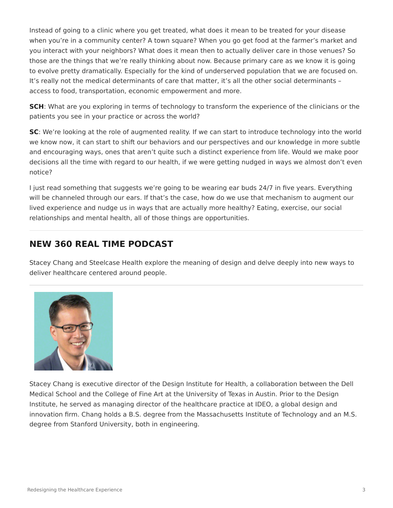Instead of going to a clinic where you get treated, what does it mean to be treated for your disease when you're in a community center? A town square? When you go get food at the farmer's market and you interact with your neighbors? What does it mean then to actually deliver care in those venues? So those are the things that we're really thinking about now. Because primary care as we know it is going to evolve pretty dramatically. Especially for the kind of underserved population that we are focused on. It's really not the medical determinants of care that matter, it's all the other social determinants – access to food, transportation, economic empowerment and more.

**SCH**: What are you exploring in terms of technology to transform the experience of the clinicians or the patients you see in your practice or across the world?

**SC**: We're looking at the role of augmented reality. If we can start to introduce technology into the world we know now, it can start to shift our behaviors and our perspectives and our knowledge in more subtle and encouraging ways, ones that aren't quite such a distinct experience from life. Would we make poor decisions all the time with regard to our health, if we were getting nudged in ways we almost don't even notice?

I just read something that suggests we're going to be wearing ear buds 24/7 in five years. Everything will be channeled through our ears. If that's the case, how do we use that mechanism to augment our lived experience and nudge us in ways that are actually more healthy? Eating, exercise, our social relationships and mental health, all of those things are opportunities.

## **NEW 360 REAL TIME PODCAST**

Stacey Chang and Steelcase Health explore the meaning of design and delve deeply into new ways to deliver healthcare centered around people.



Stacey Chang is executive director of the Design Institute for Health, a collaboration between the Dell Medical School and the College of Fine Art at the University of Texas in Austin. Prior to the Design Institute, he served as managing director of the healthcare practice at IDEO, a global design and innovation firm. Chang holds a B.S. degree from the Massachusetts Institute of Technology and an M.S. degree from Stanford University, both in engineering.